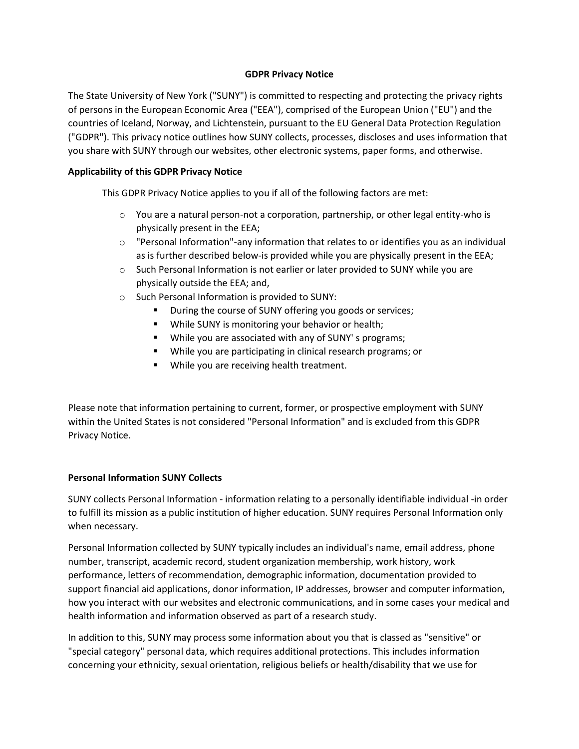#### **GDPR Privacy Notice**

The State University of New York ("SUNY") is committed to respecting and protecting the privacy rights of persons in the European Economic Area ("EEA"), comprised of the European Union ("EU") and the countries of Iceland, Norway, and Lichtenstein, pursuant to the EU General Data Protection Regulation ("GDPR"). This privacy notice outlines how SUNY collects, processes, discloses and uses information that you share with SUNY through our websites, other electronic systems, paper forms, and otherwise.

### **Applicability of this GDPR Privacy Notice**

This GDPR Privacy Notice applies to you if all of the following factors are met:

- $\circ$  You are a natural person-not a corporation, partnership, or other legal entity-who is physically present in the EEA;
- $\circ$  "Personal Information"-any information that relates to or identifies you as an individual as is further described below-is provided while you are physically present in the EEA;
- o Such Personal Information is not earlier or later provided to SUNY while you are physically outside the EEA; and,
- o Such Personal Information is provided to SUNY:
	- During the course of SUNY offering you goods or services;
	- While SUNY is monitoring your behavior or health;
	- While you are associated with any of SUNY' s programs;
	- While you are participating in clinical research programs; or
	- **While you are receiving health treatment.**

Please note that information pertaining to current, former, or prospective employment with SUNY within the United States is not considered "Personal Information" and is excluded from this GDPR Privacy Notice.

#### **Personal Information SUNY Collects**

SUNY collects Personal Information - information relating to a personally identifiable individual -in order to fulfill its mission as a public institution of higher education. SUNY requires Personal Information only when necessary.

Personal Information collected by SUNY typically includes an individual's name, email address, phone number, transcript, academic record, student organization membership, work history, work performance, letters of recommendation, demographic information, documentation provided to support financial aid applications, donor information, IP addresses, browser and computer information, how you interact with our websites and electronic communications, and in some cases your medical and health information and information observed as part of a research study.

In addition to this, SUNY may process some information about you that is classed as "sensitive" or "special category" personal data, which requires additional protections. This includes information concerning your ethnicity, sexual orientation, religious beliefs or health/disability that we use for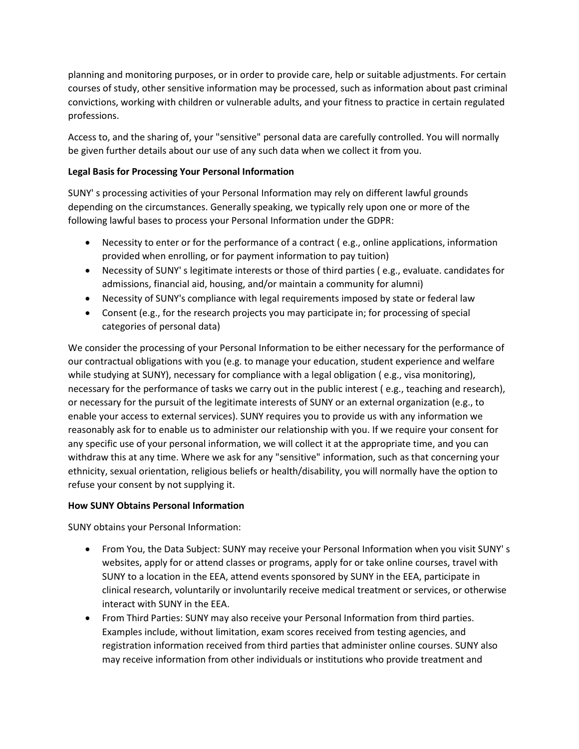planning and monitoring purposes, or in order to provide care, help or suitable adjustments. For certain courses of study, other sensitive information may be processed, such as information about past criminal convictions, working with children or vulnerable adults, and your fitness to practice in certain regulated professions.

Access to, and the sharing of, your "sensitive" personal data are carefully controlled. You will normally be given further details about our use of any such data when we collect it from you.

# **Legal Basis for Processing Your Personal Information**

SUNY' s processing activities of your Personal Information may rely on different lawful grounds depending on the circumstances. Generally speaking, we typically rely upon one or more of the following lawful bases to process your Personal Information under the GDPR:

- Necessity to enter or for the performance of a contract ( e.g., online applications, information provided when enrolling, or for payment information to pay tuition)
- Necessity of SUNY' s legitimate interests or those of third parties ( e.g., evaluate. candidates for admissions, financial aid, housing, and/or maintain a community for alumni)
- Necessity of SUNY's compliance with legal requirements imposed by state or federal law
- Consent (e.g., for the research projects you may participate in; for processing of special categories of personal data)

We consider the processing of your Personal Information to be either necessary for the performance of our contractual obligations with you (e.g. to manage your education, student experience and welfare while studying at SUNY), necessary for compliance with a legal obligation (e.g., visa monitoring), necessary for the performance of tasks we carry out in the public interest ( e.g., teaching and research), or necessary for the pursuit of the legitimate interests of SUNY or an external organization (e.g., to enable your access to external services). SUNY requires you to provide us with any information we reasonably ask for to enable us to administer our relationship with you. If we require your consent for any specific use of your personal information, we will collect it at the appropriate time, and you can withdraw this at any time. Where we ask for any "sensitive" information, such as that concerning your ethnicity, sexual orientation, religious beliefs or health/disability, you will normally have the option to refuse your consent by not supplying it.

## **How SUNY Obtains Personal Information**

SUNY obtains your Personal Information:

- From You, the Data Subject: SUNY may receive your Personal Information when you visit SUNY' s websites, apply for or attend classes or programs, apply for or take online courses, travel with SUNY to a location in the EEA, attend events sponsored by SUNY in the EEA, participate in clinical research, voluntarily or involuntarily receive medical treatment or services, or otherwise interact with SUNY in the EEA.
- From Third Parties: SUNY may also receive your Personal Information from third parties. Examples include, without limitation, exam scores received from testing agencies, and registration information received from third parties that administer online courses. SUNY also may receive information from other individuals or institutions who provide treatment and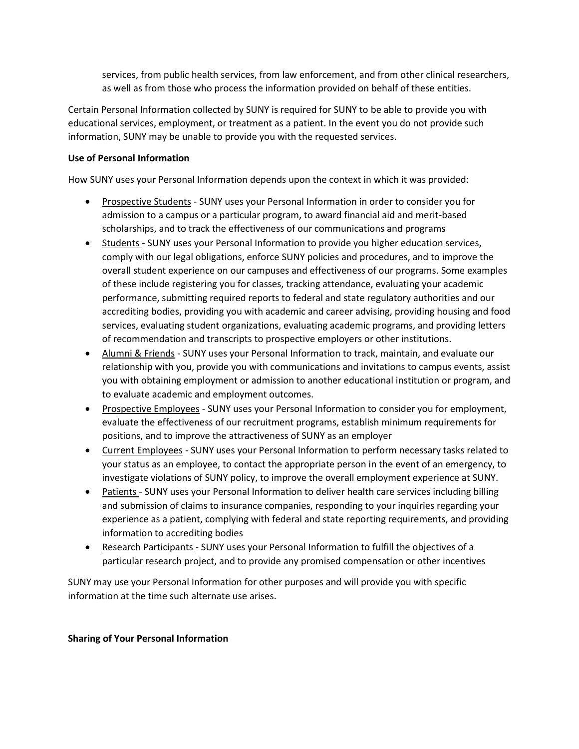services, from public health services, from law enforcement, and from other clinical researchers, as well as from those who process the information provided on behalf of these entities.

Certain Personal Information collected by SUNY is required for SUNY to be able to provide you with educational services, employment, or treatment as a patient. In the event you do not provide such information, SUNY may be unable to provide you with the requested services.

#### **Use of Personal Information**

How SUNY uses your Personal Information depends upon the context in which it was provided:

- Prospective Students SUNY uses your Personal Information in order to consider you for admission to a campus or a particular program, to award financial aid and merit-based scholarships, and to track the effectiveness of our communications and programs
- Students SUNY uses your Personal Information to provide you higher education services, comply with our legal obligations, enforce SUNY policies and procedures, and to improve the overall student experience on our campuses and effectiveness of our programs. Some examples of these include registering you for classes, tracking attendance, evaluating your academic performance, submitting required reports to federal and state regulatory authorities and our accrediting bodies, providing you with academic and career advising, providing housing and food services, evaluating student organizations, evaluating academic programs, and providing letters of recommendation and transcripts to prospective employers or other institutions.
- Alumni & Friends SUNY uses your Personal Information to track, maintain, and evaluate our relationship with you, provide you with communications and invitations to campus events, assist you with obtaining employment or admission to another educational institution or program, and to evaluate academic and employment outcomes.
- Prospective Employees SUNY uses your Personal Information to consider you for employment, evaluate the effectiveness of our recruitment programs, establish minimum requirements for positions, and to improve the attractiveness of SUNY as an employer
- Current Employees SUNY uses your Personal Information to perform necessary tasks related to your status as an employee, to contact the appropriate person in the event of an emergency, to investigate violations of SUNY policy, to improve the overall employment experience at SUNY.
- Patients SUNY uses your Personal Information to deliver health care services including billing and submission of claims to insurance companies, responding to your inquiries regarding your experience as a patient, complying with federal and state reporting requirements, and providing information to accrediting bodies
- Research Participants SUNY uses your Personal Information to fulfill the objectives of a particular research project, and to provide any promised compensation or other incentives

SUNY may use your Personal Information for other purposes and will provide you with specific information at the time such alternate use arises.

#### **Sharing of Your Personal Information**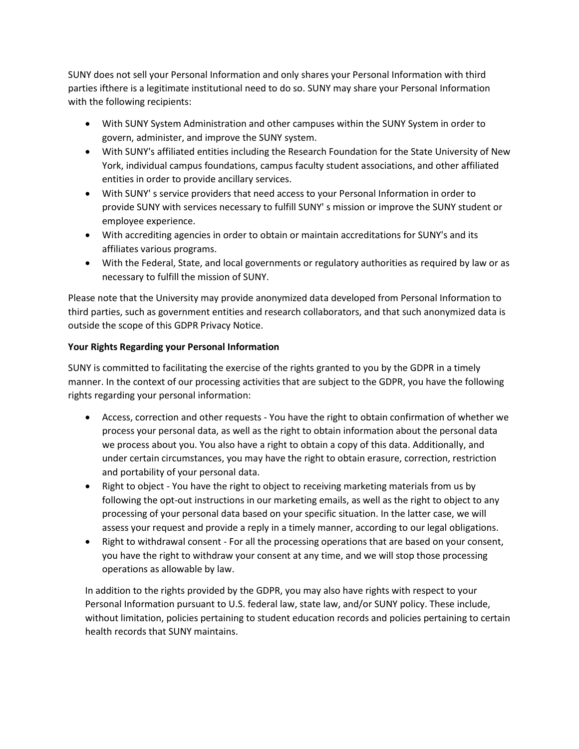SUNY does not sell your Personal Information and only shares your Personal Information with third parties ifthere is a legitimate institutional need to do so. SUNY may share your Personal Information with the following recipients:

- With SUNY System Administration and other campuses within the SUNY System in order to govern, administer, and improve the SUNY system.
- With SUNY's affiliated entities including the Research Foundation for the State University of New York, individual campus foundations, campus faculty student associations, and other affiliated entities in order to provide ancillary services.
- With SUNY' s service providers that need access to your Personal Information in order to provide SUNY with services necessary to fulfill SUNY' s mission or improve the SUNY student or employee experience.
- With accrediting agencies in order to obtain or maintain accreditations for SUNY's and its affiliates various programs.
- With the Federal, State, and local governments or regulatory authorities as required by law or as necessary to fulfill the mission of SUNY.

Please note that the University may provide anonymized data developed from Personal Information to third parties, such as government entities and research collaborators, and that such anonymized data is outside the scope of this GDPR Privacy Notice.

## **Your Rights Regarding your Personal Information**

SUNY is committed to facilitating the exercise of the rights granted to you by the GDPR in a timely manner. In the context of our processing activities that are subject to the GDPR, you have the following rights regarding your personal information:

- Access, correction and other requests You have the right to obtain confirmation of whether we process your personal data, as well as the right to obtain information about the personal data we process about you. You also have a right to obtain a copy of this data. Additionally, and under certain circumstances, you may have the right to obtain erasure, correction, restriction and portability of your personal data.
- Right to object You have the right to object to receiving marketing materials from us by following the opt-out instructions in our marketing emails, as well as the right to object to any processing of your personal data based on your specific situation. In the latter case, we will assess your request and provide a reply in a timely manner, according to our legal obligations.
- Right to withdrawal consent For all the processing operations that are based on your consent, you have the right to withdraw your consent at any time, and we will stop those processing operations as allowable by law.

In addition to the rights provided by the GDPR, you may also have rights with respect to your Personal Information pursuant to U.S. federal law, state law, and/or SUNY policy. These include, without limitation, policies pertaining to student education records and policies pertaining to certain health records that SUNY maintains.